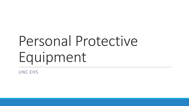# Personal Protective Equipment

UNC EHS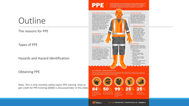## **Outline**

### The reasons for PPE

Types of PPE

Hazards and Hazard Identification

### Obtaining PPE

get credit for PPE training (6000) is discussed later in the slides Note: This is only monthly safety topics PPE training. How to

#### Personal Protective Equipment (PPE) is geared for individual safety while performing any type of potentially hazardous work. Available PPE ranges from safety glasses. hard hats, gloves and lab coats, to HazMat suits, respirators and more. Follow along to identify types of equipment used to protect individuals from injury or illness. **HEAD & HEARING PROTECTION EYE & FACE PROTECTION** Head protection (a hard hat) is required when engaged in hazardous work such as construction tree trimming, or under catwalks. Potential danger of a falling object, electrical shock exposure or burn to the head requires a Class A, B, or C hard hat. Protect your ears from noise and vibrations that can permanently cause hearing loss while on the job. Refer to OSHA's publication 3074 (2002) to understand what sound level in decibels are permissible. Hearing protection options include: Single-use earplugs. Respiratory protection pre-formed or molded earplugs, and earmuffs. **TORSO PROTECTION** High visibility safety vests, and either air-purifying or aprons may protect against atmosphere-supplying hazards, such as chemical splashes, and low-light situations. Lead aprons and shielding are used to prevent radiation exposure. **HAND PROTECTION FOOT PROTECTION** From energized electrical conductors of skin absorption of: that may come into contact with the feet. • Harmful substances to falling or rolling objects, or objects that - Synthetic gloves could pierce through the sole; footwear · Severe cuts or lacerations must comply with the ANSI 7-41-1991 standards. Toe guards, combination foot mesh gloves and shin guards, electrical conductive. or electrical hazard, and safety-toe footwear, may be required depending mesh gloves on the work engaged. - Aramid fiber gloves - Aluminized gloves WHAT CAN BE DONE TO ENSURE PROPER USE OF PPE? Personal protection equipment must be designed and constructed specifically for safety. PPE is required to be wom in appropriate

sizing, used as intended, and maintained in a clean and reliable fashion. Ensuring proper care and easy access to PPE can be the difference between a dangerous exposure and working safely.



Appropriate eye and face protection, such as safety glasses, goggles, and face shields, must be used to protect against the hazards associated with fiving particles molten metal liquid chemicals, acids and caustic liquids, chemical gases and vapors, or potentially injurious light radiation.

#### **RESPIRATORY PROTECTION**

should be used to protect against inhalation hazards of chemical and physical properties when engineering and administrative controls are not adequate. Choose respirators depending on the toxicity and concentration of the hazardous material. Depending on the environment will depend on the type of hand protection that must be worn to protect hazards - Leather, canvas, or metal · Severe abrasions, punctures - Leather, canvas, or metal • Chemical burns & thermal burns · Harmful temperature extremes

GRAPHICTS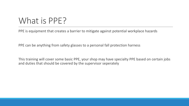## What is PPE?

PPE is equipment that creates a barrier to mitigate against potential workplace hazards

PPE can be anything from safety glasses to a personal fall protection harness

 This training will cover some basic PPE, your shop may have specialty PPE based on certain jobs and duties that should be covered by the supervisor seperately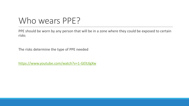# Who wears PPE?

PPE should be worn by any person that will be in a zone where they could be exposed to certain risks

The risks determine the type of PPE needed

<https://www.youtube.com/watch?v=1-GEltJlgXw>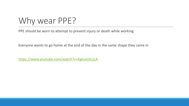Why wear PPE?

PPE should be worn to attempt to prevent injury or death while working

Everyone wants to go home at the end of the day in the same shape they came in

<https://www.youtube.com/watch?v=KgkvxUtczLA>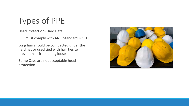# Types of PPE

Head Protection- Hard Hats

PPE must comply with ANSI Standard Z89.1

 Long hair should be compacted under the hard hat or used tied with hair ties to prevent hair from being loose

 Bump Caps are not acceptable head protection

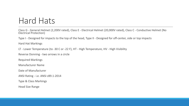## Hard Hats

 Class G - General Helmet (2,200V rated), Class E - Electrical Helmet (20,000V rated), Class C - Conductive Helmet (No Electrical Protection)

Type I - Designed for impacts to the top of the head, Type II - Designed for off-center, side or top impacts

Hard Hat Markings

LT - Lower Temperature (to -30 C or -22 F), HT - High Temperature, HV - High Visibility

Reverse Donning - two arrows in a circle

Required Markings

Manufacturer Name

Date of Manufacturer

ANSI Rating - i.e. ANSI z89.1-2014

Type & Class Markings

Head Size Range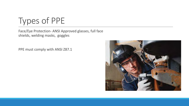Types of PPE

 shields, welding masks, goggles Face/Eye Protection- ANSI Approved glasses, full face

PPE must comply with ANSI Z87.1

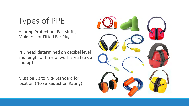Types of PPE

 Moldable or Fitted Ear Plugs Hearing Protection- Ear Muffs,

 PPE need determined on decibel level and length of time of work area (85 db and up)

 Must be up to NRR Standard for location (Noise Reduction Rating)

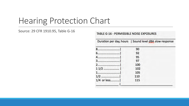## Hearing Protection Chart

### Source: 29 CFR 1910.95, Table G-16

#### TABLE G-16 - PERMISSIBLE NOISE EXPOSURES

|             | Duration per day, hours   Sound level dBA slow response |  |
|-------------|---------------------------------------------------------|--|
|             | 90                                                      |  |
|             | 92                                                      |  |
|             | 95                                                      |  |
|             | 97                                                      |  |
|             | 100                                                     |  |
|             | 102                                                     |  |
| 1           | 105                                                     |  |
|             | 110                                                     |  |
| 1/4 or less | 115                                                     |  |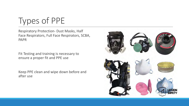Types of PPE

 Face Respirators, Full Face Respirators, SCBA, Respiratory Protection- Dust Masks, Half PAPR

 Fit Testing and training is necessary to ensure a proper fit and PPE use

Keep PPE clean and wipe down before and after use

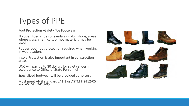# Types of PPE

Foot Protection –Safety Toe Footwear

 No open toed shoes or sandals in labs, shops, areas where glass, chemicals, or hot materials may be used

 Rubber boot foot protection required when working in wet locations

 Insole Protection is also important in construction areas

 UNC will pay up to 80 dollars for safety shoes in accordance to Office of State Personnel

Specialized footwear will be provided at no cost

 Must meet ANSI standard z41.1 or ASTM F 2412-05 and ASTM F 2413-05

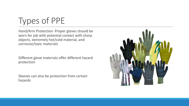Types of PPE

 worn for job with potential contact with sharp Hand/Arm Protection- Proper gloves should be objects, extremely hot/cold material, and corrosive/toxic materials

 Different glove materials offer different hazard protection

 Sleeves can also be protection from certain hazards

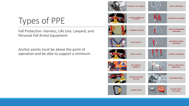Types of PPE

 Personal Fall Arrest Equipment Fall Protection- Harness, Life Line, Lanyard, and

 Anchor points must be above the point of operation and be able to support a minimum

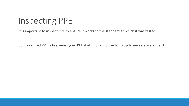# Inspecting PPE

It is important to inspect PPE to ensure it works to the standard at which it was tested

Compromised PPE is like wearing no PPE it all if it cannot perform up to necessary standard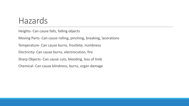### Hazards

Heights- Can cause falls, falling objects

Moving Parts- Can cause rolling, pinching, breaking, lacerations

Temperature- Can cause burns, frostbite, numbness

Electricity- Can cause burns, electrocution, fire

Sharp Objects- Can cause cuts, bleeding, loss of limb

Chemical- Can cause blindness, burns, organ damage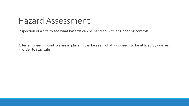### Hazard Assessment

Inspection of a site to see what hazards can be handled with engineering controls

 After engineering controls are in place, it can be seen what PPE needs to be utilized by workers in order to stay safe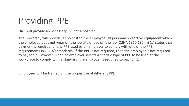# Providing PPE

UNC will provide an necessary PPE for a position

 The University will provide, at no cost to the employee, all personal protective equipment which the employee does not wear off the job site or use off the job. OSHA 1910.132 (h) (1) states that payment is required for any PPE used by an employer to comply with one of the PPE requirements in OSHA's standards. If the PPE is not required, then the employer is not required to pay for it. However, when an employer selects a specific type of PPE to be used at the workplace to comply with a standard, the employer is required to pay for it.

Employees will be trained on the proper use of different PPE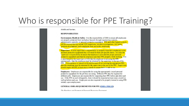### Who is responsible for PPE Training?

shields and barriers.

#### **RESPONSIBILITIES**

**Environment, Health & Safety:** It is the responsibility of EHS to ensure all employees are properly protected from workplace hazards through engineering controls, administrative controls, or personal protective equipment. PPE and other hazard controls will be assessed during annual EHS inspections, incident investigations, Job Safety Analysis development, and complaints from university employees.

Supervisor: It is the supervisor's responsibility to properly train their employees in the personal protective equipment they will need for their job specific duties. It is also the supervisor's responsibility to ensure the employee is provided the proper personal protective equipment and that the employee uses their PPE properly while working. If it is determined by the supervisor or EHS that the employee is not using the PPE appropriately, then the employee must be retrained by the supervisor in the use of the PPE. If an employee is injured on the job because of not wearing the appropriate PPE. then the employee must be retrained by the supervisor in the use of the PPE. Supervisors should inspect all PPE at least once a month to ensure that it is safe to use.

Employees: Employees are responsible for using the appropriately issued personal protective equipment for the job they are doing. Different PPE may be required for different jobs. Employees are responsible for inspecting their PPE before and after each use. If the PPE is used infrequently, then it should be inspected at least once a month as well as before each use. Employees are also required to be properly trained in using PPE initially upon employment.

#### **GENERAL OSHA REQUIREMENTS FOR PPE (OSHA 1910.132)**

The Purchase and Payment of Personal Protective Fauinment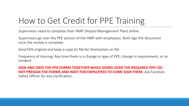# How to Get Credit for PPE Training

Supervisors need to complete their HMP (Hazard Management Plan) online

 Supervisors go over the PPE section of the HMP with employees. Both sign the document once the review is complete

Send EHS original and keep a copy on file for themselves on file

 Frequency of training: Any time there is a change in type of PPE, change in requirement, or an incident

 **SIGN AND DATE THE PPE FORMS TOGETHER WHILE GOING OVER THE REQUIRED PPE! DO NOT PRESIGN THE FORMS AND WAIT FOR EMPLOYEES TO COME SIGN THEM.** Ask Facilities Safety Officer for any clarification.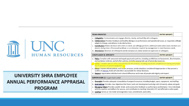

### UNIVERSITY SHRA EMPLOYEE **ANNUAL PERFORMANCE APPRAISAL PROGRAM**

| <b>TEAM-ORIENTED</b> |                                                                                                                                                                                                                                              | <b>ENTER WEIGHT:</b> |  |  |  |
|----------------------|----------------------------------------------------------------------------------------------------------------------------------------------------------------------------------------------------------------------------------------------|----------------------|--|--|--|
| а.                   | <b>Collegiality:</b> Communicates and engages directly, clearly, and tactfully with colleagues.                                                                                                                                              |                      |  |  |  |
|                      | b. <b>Collaboration:</b> Provides feedback and healthy dialogue on performance and operational issues, as requested, willingly<br>adapts to change, and adheres to decided actions.                                                          |                      |  |  |  |
|                      | c. Contribution: Makes decisions with others in mind, and willingly performs additional duties when team members are<br>absent, during times of increased workload, or as otherwise required by management to meet business needs.           |                      |  |  |  |
|                      | d. Attendance: Absences are infrequent and do not place an undue burden on supervisor or colleagues.                                                                                                                                         |                      |  |  |  |
|                      | <b>COMPLIANCE &amp; INTEGRITY</b>                                                                                                                                                                                                            | <b>ENTER WEIGHT:</b> |  |  |  |
|                      | a. Policy: Complies with personnel and equal opportunity policies, including prohibitions on harassment, discrimination,<br>and workplace violence, and all other policies, including appropriate use of university resources.               |                      |  |  |  |
|                      | Safety: Complies with all safety requirements for the position, including successful completion of training and proper<br>use of personal protective equipment.                                                                              |                      |  |  |  |
|                      | c. Ethics: Chooses ethical actions, even under pressure, avoids situations considered inappropriate or that present a<br>conflict of interest, holds self and others accountable for ethical decisions.                                      |                      |  |  |  |
|                      | d. Respect: Appreciates individual and cultural differences and treats all people with dignity and respect.                                                                                                                                  |                      |  |  |  |
|                      | <b>SUPERVISION</b> (for supervisors only)                                                                                                                                                                                                    | <b>ENTER WEIGHT:</b> |  |  |  |
| а.                   | Oversight: Provides adequate stewardship of assigned resources, including budget, space, equipment, and staffing.                                                                                                                            |                      |  |  |  |
| b.                   | Goal-Setting: Provides clear objectives that foster work unit development and align with University values and goals.                                                                                                                        |                      |  |  |  |
| c.                   | Managing Talent: Provides candid, timely, and constructive feedback on performance and behavior, hires individuals<br>with the qualities and skillsets for success, and contributes to meeting University's EO and affirmative action goals. |                      |  |  |  |
|                      | d. Leading: Serves as role model and engenders trust, commitment, and civility.                                                                                                                                                              |                      |  |  |  |